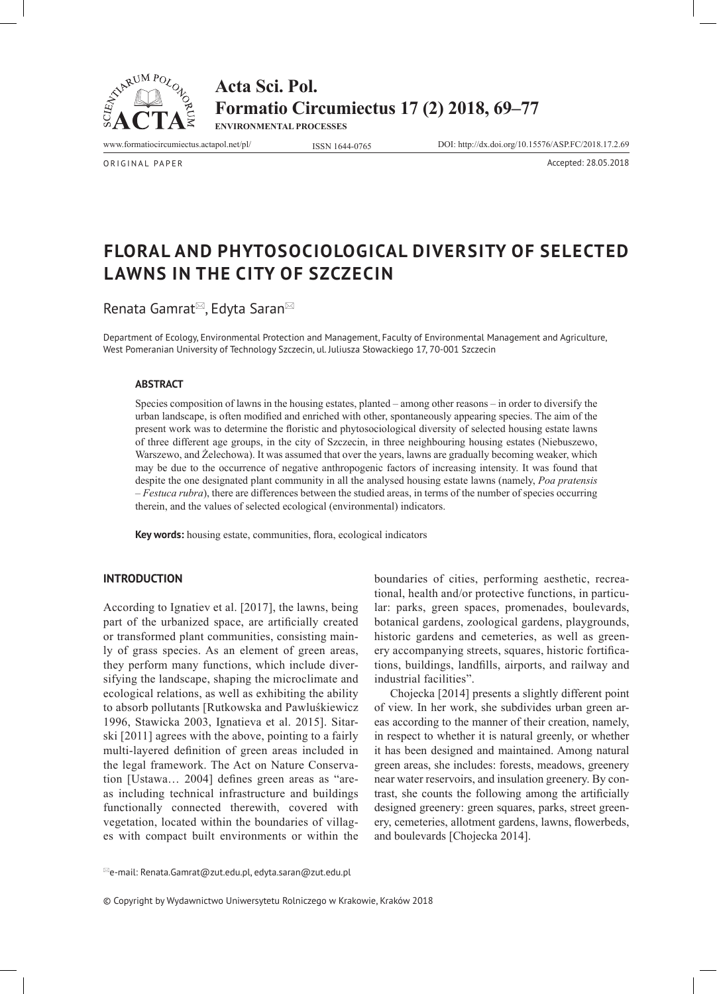

**Acta Sci. Pol. Formatio Circumiectus 17 (2) 2018, 69–77 ENVIRONMENTAL PROCESSES**

www.formatiocircumiectus.actapol.net/pl/ ISSN 1644-0765 DOI: http://dx.doi.org/10.15576/ASP.FC/2018.17.2.69

ORIGINAL PAPER Accepted: 28.05.2018

# **Floral and phytosociological diversity of selected lawns in the city of Szczecin**

Renata Gamrat<sup>⊠</sup>, Edyta Saran<sup>⊠</sup>

Department of Ecology, Environmental Protection and Management, Faculty of Environmental Management and Agriculture, West Pomeranian University of Technology Szczecin, ul. Juliusza Słowackiego 17, 70-001 Szczecin

#### **ABSTRACT**

Species composition of lawns in the housing estates, planted – among other reasons – in order to diversify the urban landscape, is often modified and enriched with other, spontaneously appearing species. The aim of the present work was to determine the floristic and phytosociological diversity of selected housing estate lawns of three different age groups, in the city of Szczecin, in three neighbouring housing estates (Niebuszewo, Warszewo, and Żelechowa). It was assumed that over the years, lawns are gradually becoming weaker, which may be due to the occurrence of negative anthropogenic factors of increasing intensity. It was found that despite the one designated plant community in all the analysed housing estate lawns (namely, *Poa pratensis* – *Festuca rubra*), there are differences between the studied areas, in terms of the number of species occurring therein, and the values of selected ecological (environmental) indicators.

**Key words:** housing estate, communities, flora, ecological indicators

## **INTRODUCTION**

According to Ignatiev et al. [2017], the lawns, being part of the urbanized space, are artificially created or transformed plant communities, consisting mainly of grass species. As an element of green areas, they perform many functions, which include diversifying the landscape, shaping the microclimate and ecological relations, as well as exhibiting the ability to absorb pollutants [Rutkowska and Pawluśkiewicz 1996, Stawicka 2003, Ignatieva et al. 2015]. Sitarski [2011] agrees with the above, pointing to a fairly multi-layered definition of green areas included in the legal framework. The Act on Nature Conservation [Ustawa… 2004] defines green areas as "areas including technical infrastructure and buildings functionally connected therewith, covered with vegetation, located within the boundaries of villages with compact built environments or within the

boundaries of cities, performing aesthetic, recreational, health and/or protective functions, in particular: parks, green spaces, promenades, boulevards, botanical gardens, zoological gardens, playgrounds, historic gardens and cemeteries, as well as greenery accompanying streets, squares, historic fortifications, buildings, landfills, airports, and railway and industrial facilities".

Chojecka [2014] presents a slightly different point of view. In her work, she subdivides urban green areas according to the manner of their creation, namely, in respect to whether it is natural greenly, or whether it has been designed and maintained. Among natural green areas, she includes: forests, meadows, greenery near water reservoirs, and insulation greenery. By contrast, she counts the following among the artificially designed greenery: green squares, parks, street greenery, cemeteries, allotment gardens, lawns, flowerbeds, and boulevards [Chojecka 2014].

 $^{\boxtimes}$ e-mail: Renata.Gamrat@zut.edu.pl, edyta.saran@zut.edu.pl

© Copyright by Wydawnictwo Uniwersytetu Rolniczego w Krakowie, Kraków 2018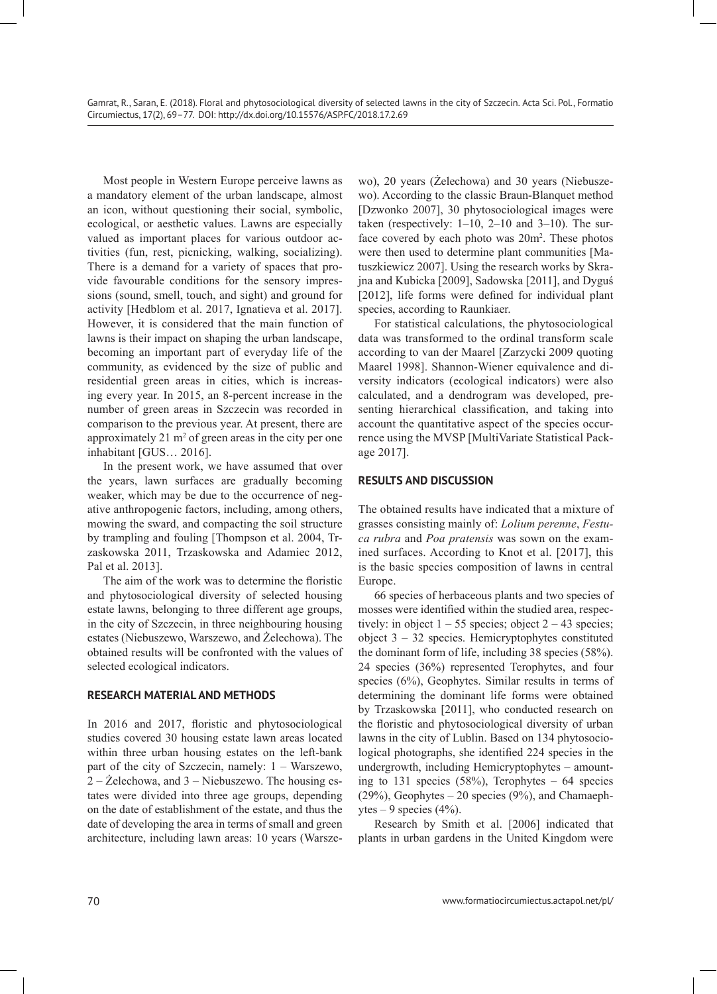Most people in Western Europe perceive lawns as a mandatory element of the urban landscape, almost an icon, without questioning their social, symbolic, ecological, or aesthetic values. Lawns are especially valued as important places for various outdoor activities (fun, rest, picnicking, walking, socializing). There is a demand for a variety of spaces that provide favourable conditions for the sensory impressions (sound, smell, touch, and sight) and ground for activity [Hedblom et al. 2017, Ignatieva et al. 2017]. However, it is considered that the main function of lawns is their impact on shaping the urban landscape, becoming an important part of everyday life of the community, as evidenced by the size of public and residential green areas in cities, which is increasing every year. In 2015, an 8-percent increase in the number of green areas in Szczecin was recorded in comparison to the previous year. At present, there are approximately  $21 \text{ m}^2$  of green areas in the city per one inhabitant [GUS… 2016].

In the present work, we have assumed that over the years, lawn surfaces are gradually becoming weaker, which may be due to the occurrence of negative anthropogenic factors, including, among others, mowing the sward, and compacting the soil structure by trampling and fouling [Thompson et al. 2004, Trzaskowska 2011, Trzaskowska and Adamiec 2012, Pal et al. 2013].

The aim of the work was to determine the floristic and phytosociological diversity of selected housing estate lawns, belonging to three different age groups, in the city of Szczecin, in three neighbouring housing estates (Niebuszewo, Warszewo, and Żelechowa). The obtained results will be confronted with the values of selected ecological indicators.

# **RESEARCH MATERIAL AND METHODS**

In 2016 and 2017, floristic and phytosociological studies covered 30 housing estate lawn areas located within three urban housing estates on the left-bank part of the city of Szczecin, namely: 1 – Warszewo, 2 – Żelechowa, and 3 – Niebuszewo. The housing estates were divided into three age groups, depending on the date of establishment of the estate, and thus the date of developing the area in terms of small and green architecture, including lawn areas: 10 years (Warsze-

wo), 20 years (Żelechowa) and 30 years (Niebuszewo). According to the classic Braun-Blanquet method [Dzwonko 2007], 30 phytosociological images were taken (respectively:  $1-10$ ,  $2-10$  and  $3-10$ ). The surface covered by each photo was 20m<sup>2</sup>. These photos were then used to determine plant communities [Matuszkiewicz 2007]. Using the research works by Skrajna and Kubicka [2009], Sadowska [2011], and Dyguś [2012], life forms were defined for individual plant species, according to Raunkiaer.

For statistical calculations, the phytosociological data was transformed to the ordinal transform scale according to van der Maarel [Zarzycki 2009 quoting Maarel 1998]. Shannon-Wiener equivalence and diversity indicators (ecological indicators) were also calculated, and a dendrogram was developed, presenting hierarchical classification, and taking into account the quantitative aspect of the species occurrence using the MVSP [MultiVariate Statistical Package 2017].

#### **RESULTS AND DISCUSSION**

The obtained results have indicated that a mixture of grasses consisting mainly of: *Lolium perenne*, *Festuca rubra* and *Poa pratensis* was sown on the examined surfaces. According to Knot et al. [2017], this is the basic species composition of lawns in central Europe.

66 species of herbaceous plants and two species of mosses were identified within the studied area, respectively: in object  $1 - 55$  species; object  $2 - 43$  species; object  $3 - 32$  species. Hemicryptophytes constituted the dominant form of life, including 38 species (58%). 24 species (36%) represented Terophytes, and four species (6%), Geophytes. Similar results in terms of determining the dominant life forms were obtained by Trzaskowska [2011], who conducted research on the floristic and phytosociological diversity of urban lawns in the city of Lublin. Based on 134 phytosociological photographs, she identified 224 species in the undergrowth, including Hemicryptophytes – amounting to 131 species  $(58%)$ , Terophytes – 64 species (29%), Geophytes – 20 species (9%), and Chamaephytes  $-9$  species (4%).

Research by Smith et al. [2006] indicated that plants in urban gardens in the United Kingdom were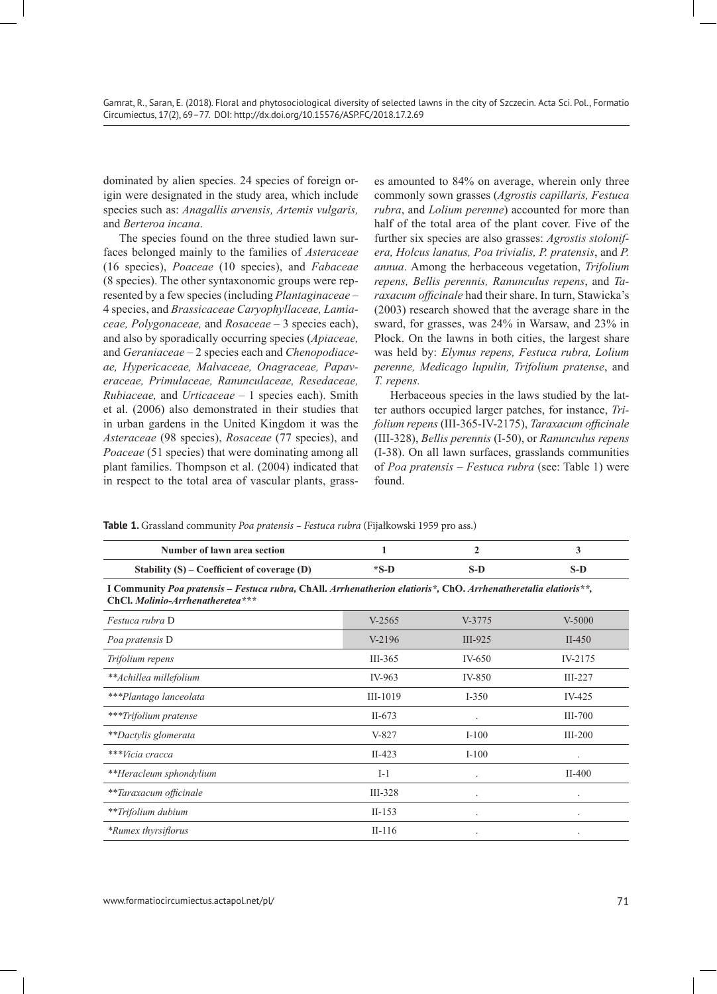dominated by alien species. 24 species of foreign origin were designated in the study area, which include species such as: *Anagallis arvensis, Artemis vulgaris,*  and *Berteroa incana*.

The species found on the three studied lawn surfaces belonged mainly to the families of *Asteraceae* (16 species), *Poaceae* (10 species), and *Fabaceae* (8 species). The other syntaxonomic groups were represented by a few species (including *Plantaginaceae* – 4 species, and *Brassicaceae Caryophyllaceae, Lamiaceae, Polygonaceae,* and *Rosaceae* – 3 species each), and also by sporadically occurring species (*Apiaceae,*  and *Geraniaceae* – 2 species each and *Chenopodiaceae, Hypericaceae, Malvaceae, Onagraceae, Papaveraceae, Primulaceae, Ranunculaceae, Resedaceae, Rubiaceae,* and *Urticaceae* – 1 species each). Smith et al. (2006) also demonstrated in their studies that in urban gardens in the United Kingdom it was the *Asteraceae* (98 species), *Rosaceae* (77 species), and *Poaceae* (51 species) that were dominating among all plant families. Thompson et al. (2004) indicated that in respect to the total area of vascular plants, grasses amounted to 84% on average, wherein only three commonly sown grasses (*Agrostis capillaris, Festuca rubra*, and *Lolium perenne*) accounted for more than half of the total area of the plant cover. Five of the further six species are also grasses: *Agrostis stolonifera, Holcus lanatus, Poa trivialis, P. pratensis*, and *P. annua*. Among the herbaceous vegetation, *Trifolium repens, Bellis perennis, Ranunculus repens*, and *Taraxacum officinale* had their share. In turn, Stawicka's (2003) research showed that the average share in the sward, for grasses, was 24% in Warsaw, and 23% in Płock. On the lawns in both cities, the largest share was held by: *Elymus repens, Festuca rubra, Lolium perenne, Medicago lupulin, Trifolium pratense*, and *T. repens.*

Herbaceous species in the laws studied by the latter authors occupied larger patches, for instance, *Trifolium repens* (III-365-IV-2175), *Taraxacum officinale* (III-328), *Bellis perennis* (I-50), or *Ranunculus repens* (I-38). On all lawn surfaces, grasslands communities of *Poa pratensis – Festuca rubra* (see: Table 1) were found.

| Number of lawn area section                                                                                                                          | 1          | $\mathbf{2}$         | 3         |
|------------------------------------------------------------------------------------------------------------------------------------------------------|------------|----------------------|-----------|
| Stability $(S)$ – Coefficient of coverage $(D)$                                                                                                      | $*S-D$     | $S-D$                | $S-D$     |
| I Community Poa pratensis – Festuca rubra, ChAll. Arrhenatherion elatioris*, ChO. Arrhenatheretalia elatioris**,<br>ChCl. Molinio-Arrhenatheretea*** |            |                      |           |
| Festuca rubra D                                                                                                                                      | $V-2565$   | $V-3775$             | $V-5000$  |
| Poa pratensis D                                                                                                                                      | $V-2196$   | $III-925$            | $II-450$  |
| Trifolium repens                                                                                                                                     | $III-365$  | IV-650               | IV-2175   |
| **Achillea millefolium                                                                                                                               | IV-963     | IV-850               | $III-227$ |
| ***Plantago lanceolata                                                                                                                               | $III-1019$ | $I - 350$            | IV-425    |
| ***Trifolium pratense                                                                                                                                | $II-673$   | $\ddot{\phantom{0}}$ | III-700   |
| **Dactylis glomerata                                                                                                                                 | $V-827$    | $I-100$              | $III-200$ |
| ***Vicia cracca                                                                                                                                      | $II-423$   | $I-100$              |           |
| **Heracleum sphondylium                                                                                                                              | $I-1$      |                      | $II-400$  |
| **Taraxacum officinale                                                                                                                               | $III-328$  |                      |           |
| **Trifolium dubium                                                                                                                                   | $II-153$   |                      |           |
| *Rumex thyrsiflorus                                                                                                                                  | $II-116$   |                      |           |

**Table 1.** Grassland community *Poa pratensis – Festuca rubra* (Fijałkowski 1959 pro ass.)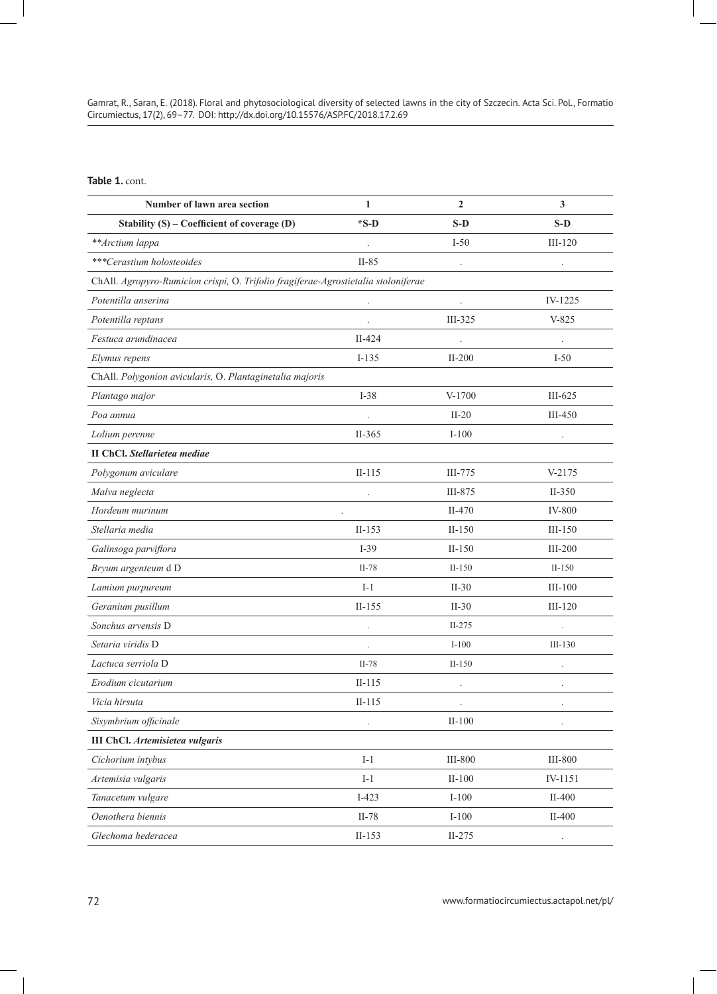Gamrat, R., Saran, E. (2018). Floral and phytosociological diversity of selected lawns in the city of Szczecin. Acta Sci. Pol., Formatio Circumiectus, 17(2), 69–77. DOI: http://dx.doi.org/10.15576/ASP.FC/2018.17.2.69

# **Table 1.** cont.

| Number of lawn area section                                                        | $\mathbf{1}$ | $\mathbf{2}$         | 3                    |
|------------------------------------------------------------------------------------|--------------|----------------------|----------------------|
| Stability (S) - Coefficient of coverage (D)                                        | $*S-D$       | $S-D$                | $S-D$                |
| **Arctium lappa                                                                    |              | $I-50$               | $III-120$            |
| ***Cerastium holosteoides                                                          | $II-85$      |                      |                      |
| ChAll. Agropyro-Rumicion crispi, O. Trifolio fragiferae-Agrostietalia stoloniferae |              |                      |                      |
| Potentilla anserina                                                                |              | $\ddot{\phantom{a}}$ | IV-1225              |
| Potentilla reptans                                                                 |              | $III-325$            | $V-825$              |
| Festuca arundinacea                                                                | $II-424$     |                      |                      |
| Elymus repens                                                                      | $I-135$      | $II-200$             | $I-50$               |
| ChAll. Polygonion avicularis, O. Plantaginetalia majoris                           |              |                      |                      |
| Plantago major                                                                     | $I-38$       | V-1700               | $III-625$            |
| Poa annua                                                                          |              | $II-20$              | $III-450$            |
| Lolium perenne                                                                     | $II-365$     | $I-100$              | $\ddot{\phantom{0}}$ |
| <b>II ChCl.</b> Stellarietea mediae                                                |              |                      |                      |
| Polygonum aviculare                                                                | $II-115$     | III-775              | $V-2175$             |
| Malva neglecta                                                                     |              | III-875              | $II-350$             |
| Hordeum murinum                                                                    |              | $II-470$             | <b>IV-800</b>        |
| Stellaria media                                                                    | $II-153$     | $II-150$             | $III-150$            |
| Galinsoga parviflora                                                               | $I-39$       | $II-150$             | $III-200$            |
| Bryum argenteum dD                                                                 | $II-78$      | $II-150$             | $II-150$             |
| Lamium purpureum                                                                   | $I-1$        | $II-30$              | $III-100$            |
| Geranium pusillum                                                                  | $II-155$     | $II-30$              | $III-120$            |
| Sonchus arvensis D                                                                 |              | $II-275$             |                      |
| Setaria viridis D                                                                  |              | $I-100$              | $III-130$            |
| Lactuca serriola D                                                                 | $II-78$      | $II-150$             |                      |
| Erodium cicutarium                                                                 | $II-115$     | $\cdot$              | $\ddot{\phantom{0}}$ |
| Vicia hirsuta                                                                      | $II-115$     |                      |                      |
| Sisymbrium officinale                                                              |              | $II-100$             |                      |
| <b>III ChCl.</b> Artemisietea vulgaris                                             |              |                      |                      |
| Cichorium intybus                                                                  | $I-1$        | <b>III-800</b>       | <b>III-800</b>       |
| Artemisia vulgaris                                                                 | $I-1$        | $II-100$             | IV-1151              |
| Tanacetum vulgare                                                                  | $I-423$      | $I-100$              | $II-400$             |
| Oenothera biennis                                                                  | $II-78$      | $I-100$              | $II-400$             |
| Glechoma hederacea                                                                 | $II-153$     | $II-275$             |                      |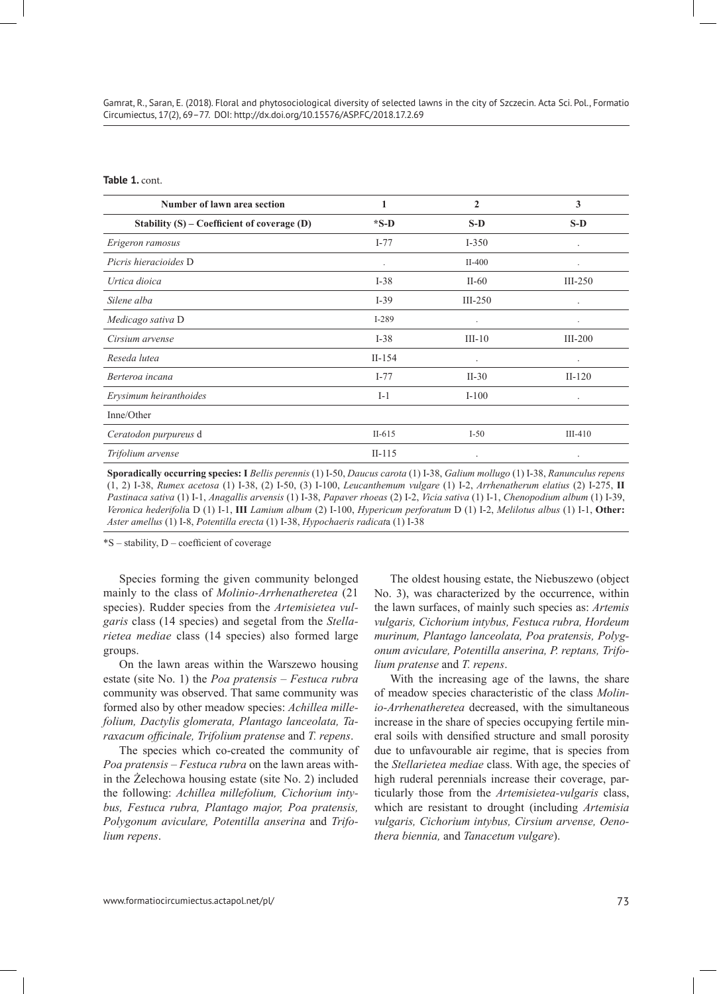**Table 1.** cont.

| Number of lawn area section                     | 1                    | $\mathbf{2}$         | 3                    |
|-------------------------------------------------|----------------------|----------------------|----------------------|
| Stability $(S)$ – Coefficient of coverage $(D)$ | $*S-D$               | $S-D$                | $S-D$                |
| Erigeron ramosus                                | $I-77$               | $I-350$              | $\cdot$              |
| Picris hieracioides D                           | $\ddot{\phantom{1}}$ | $II-400$             |                      |
| Urtica dioica                                   | $I-38$               | $II-60$              | $III-250$            |
| Silene alba                                     | $I-39$               | $III-250$            | $\bullet$            |
| Medicago sativa D                               | $I-289$              | $\ddot{\phantom{a}}$ |                      |
| Cirsium arvense                                 | $I-38$               | $III-10$             | $III-200$            |
| Reseda lutea                                    | $II-154$             | $\ddot{\phantom{0}}$ | $\bullet$            |
| Berteroa incana                                 | $I-77$               | $II-30$              | $II-120$             |
| Erysimum heiranthoides                          | $I-1$                | $I-100$              | $\ddot{\phantom{1}}$ |
| Inne/Other                                      |                      |                      |                      |
| Ceratodon purpureus d                           | $II-615$             | $I-50$               | $III-410$            |
| Trifolium arvense                               | $II-115$             | $\ddot{\phantom{0}}$ | $\bullet$            |
|                                                 |                      |                      |                      |

**Sporadically occurring species: I** *Bellis perennis* (1) I-50, *Daucus carota* (1) I-38, *Galium mollugo* (1) I-38, *Ranunculus repens*  (1, 2) I-38, *Rumex acetosa* (1) I-38, (2) I-50, (3) I-100, *Leucanthemum vulgare* (1) I-2, *Arrhenatherum elatius* (2) I-275, **II** *Pastinaca sativa* (1) I-1, *Anagallis arvensis* (1) I-38, *Papaver rhoeas* (2) I-2, *Vicia sativa* (1) I-1, *Chenopodium album* (1) I-39, *Veronica hederifoli*a D (1) I-1, **III** *Lamium album* (2) I-100, *Hypericum perforatum* D (1) I-2, *Melilotus albus* (1) I-1, **Other:** *Aster amellus* (1) I-8, *Potentilla erecta* (1) I-38, *Hypochaeris radicat*a (1) I-38

\*S – stability, D – coefficient of coverage

Species forming the given community belonged mainly to the class of *Molinio-Arrhenatheretea* (21 species). Rudder species from the *Artemisietea vulgaris* class (14 species) and segetal from the *Stellarietea mediae* class (14 species) also formed large groups.

On the lawn areas within the Warszewo housing estate (site No. 1) the *Poa pratensis – Festuca rubra* community was observed. That same community was formed also by other meadow species: *Achillea millefolium, Dactylis glomerata, Plantago lanceolata, Taraxacum officinale, Trifolium pratense* and *T. repens*.

The species which co-created the community of *Poa pratensis – Festuca rubra* on the lawn areas within the Żelechowa housing estate (site No. 2) included the following: *Achillea millefolium, Cichorium intybus, Festuca rubra, Plantago major, Poa pratensis, Polygonum aviculare, Potentilla anserina* and *Trifolium repens*.

The oldest housing estate, the Niebuszewo (object No. 3), was characterized by the occurrence, within the lawn surfaces, of mainly such species as: *Artemis vulgaris, Cichorium intybus, Festuca rubra, Hordeum murinum, Plantago lanceolata, Poa pratensis, Polygonum aviculare, Potentilla anserina, P. reptans, Trifolium pratense* and *T. repens*.

With the increasing age of the lawns, the share of meadow species characteristic of the class *Molinio-Arrhenatheretea* decreased, with the simultaneous increase in the share of species occupying fertile mineral soils with densified structure and small porosity due to unfavourable air regime, that is species from the *Stellarietea mediae* class. With age, the species of high ruderal perennials increase their coverage, particularly those from the *Artemisietea-vulgaris* class, which are resistant to drought (including *Artemisia vulgaris, Cichorium intybus, Cirsium arvense, Oenothera biennia,* and *Tanacetum vulgare*).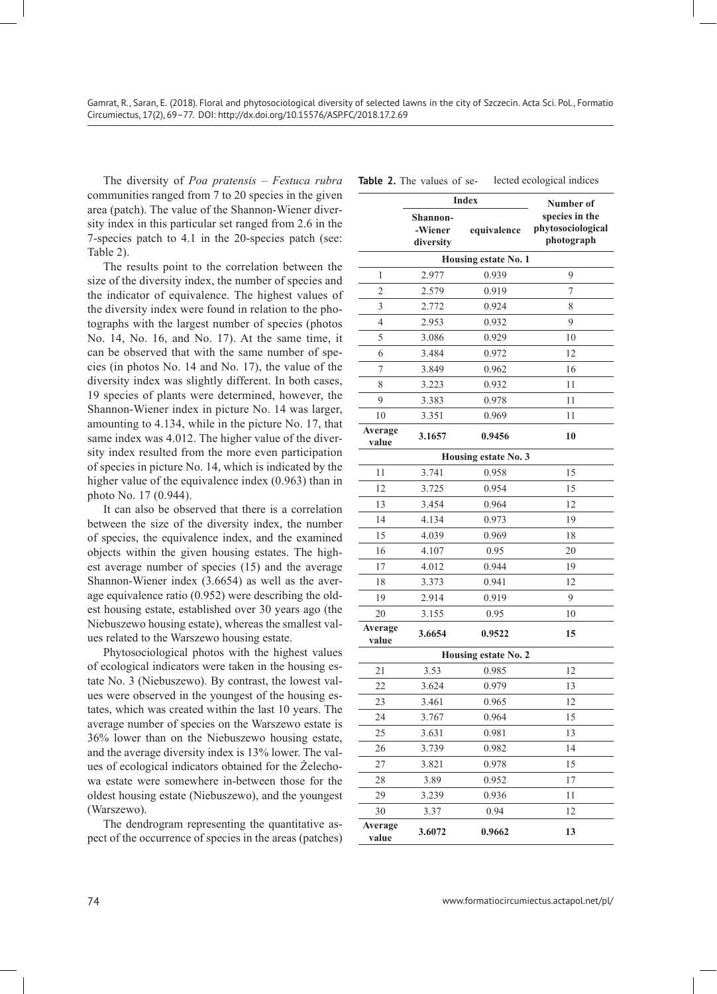The diversity of *Poa pratensis – Festuca rubra* communities ranged from 7 to 20 species in the given area (patch). The value of the Shannon-Wiener diversity index in this particular set ranged from 2.6 in the 7-species patch to 4.1 in the 20-species patch (see: Table 2).

The results point to the correlation between the size of the diversity index, the number of species and the indicator of equivalence. The highest values of the diversity index were found in relation to the photographs with the largest number of species (photos No. 14, No. 16, and No. 17). At the same time, it can be observed that with the same number of species (in photos No. 14 and No. 17), the value of the diversity index was slightly different. In both cases, 19 species of plants were determined, however, the Shannon-Wiener index in picture No. 14 was larger, amounting to 4.134, while in the picture No. 17, that same index was 4.012. The higher value of the diversity index resulted from the more even participation of species in picture No. 14, which is indicated by the higher value of the equivalence index (0.963) than in photo No. 17 (0.944).

It can also be observed that there is a correlation between the size of the diversity index, the number of species, the equivalence index, and the examined objects within the given housing estates. The highest average number of species (15) and the average Shannon-Wiener index (3.6654) as well as the average equivalence ratio (0.952) were describing the oldest housing estate, established over 30 years ago (the Niebuszewo housing estate), whereas the smallest values related to the Warszewo housing estate.

Phytosociological photos with the highest values of ecological indicators were taken in the housing estate No. 3 (Niebuszewo). By contrast, the lowest values were observed in the youngest of the housing estates, which was created within the last 10 years. The average number of species on the Warszewo estate is 36% lower than on the Niebuszewo housing estate, and the average diversity index is 13% lower. The values of ecological indicators obtained for the Żelechowa estate were somewhere in-between those for the oldest housing estate (Niebuszewo), and the youngest (Warszewo).

The dendrogram representing the quantitative aspect of the occurrence of species in the areas (patches)

| <b>Index</b>         |                                  |                      | Number of                                         |  |
|----------------------|----------------------------------|----------------------|---------------------------------------------------|--|
|                      | Shannon-<br>-Wiener<br>diversity | equivalence          | species in the<br>phytosociological<br>photograph |  |
|                      |                                  | Housing estate No. 1 |                                                   |  |
| 1                    | 2.977                            | 0.939                | 9                                                 |  |
| $\overline{c}$       | 2.579                            | 0.919                | $\overline{7}$                                    |  |
| 3                    | 2.772                            | 0.924                | 8                                                 |  |
| $\overline{4}$       | 2.953                            | 0.932                | 9                                                 |  |
| 5                    | 3.086                            | 0.929                | 10                                                |  |
| 6                    | 3.484                            | 0.972                | 12                                                |  |
| $\overline{7}$       | 3.849                            | 0.962                | 16                                                |  |
| 8                    | 3.223                            | 0.932                | 11                                                |  |
| 9                    | 3.383                            | 0.978                | 11                                                |  |
| 10                   | 3.351                            | 0.969                | 11                                                |  |
| Average<br>value     | 3.1657                           | 0.9456               | 10                                                |  |
|                      |                                  | Housing estate No. 3 |                                                   |  |
| 11                   | 3.741                            | 0.958                | 15                                                |  |
| 12                   | 3.725                            | 0.954                | 15                                                |  |
| 13                   | 3.454                            | 0.964                | 12                                                |  |
| 14                   | 4.134                            | 0.973                | 19                                                |  |
| 15                   | 4.039                            | 0.969                | 18                                                |  |
| 16                   | 4.107                            | 0.95                 | 20                                                |  |
| 17                   | 4.012                            | 0.944                | 19                                                |  |
| 18                   | 3.373                            | 0.941                | 12                                                |  |
| 19                   | 2.914                            | 0.919                | 9                                                 |  |
| 20                   | 3.155                            | 0.95                 | 10                                                |  |
| Average<br>value     | 3.6654                           | 0.9522               | 15                                                |  |
| Housing estate No. 2 |                                  |                      |                                                   |  |
| 21                   | 3.53                             | 0.985                | 12                                                |  |
| 22                   | 3.624                            | 0.979                | 13                                                |  |
| 23                   | 3.461                            | 0.965                | 12                                                |  |
| 24                   | 3.767                            | 0.964                | 15                                                |  |
| 25                   | 3.631                            | 0.981                | 13                                                |  |
| 26                   | 3.739                            | 0.982                | 14                                                |  |
| 27                   | 3.821                            | 0.978                | 15                                                |  |
| 28                   | 3.89                             | 0.952                | 17                                                |  |
| 29                   | 3.239                            | 0.936                | 11                                                |  |
| 30                   | 3.37                             | 0.94                 | 12                                                |  |
| Average<br>value     | 3.6072                           | 0.9662               | 13                                                |  |

| <b>Table 2.</b> The values of se- |  | lected ecological indices |
|-----------------------------------|--|---------------------------|
|-----------------------------------|--|---------------------------|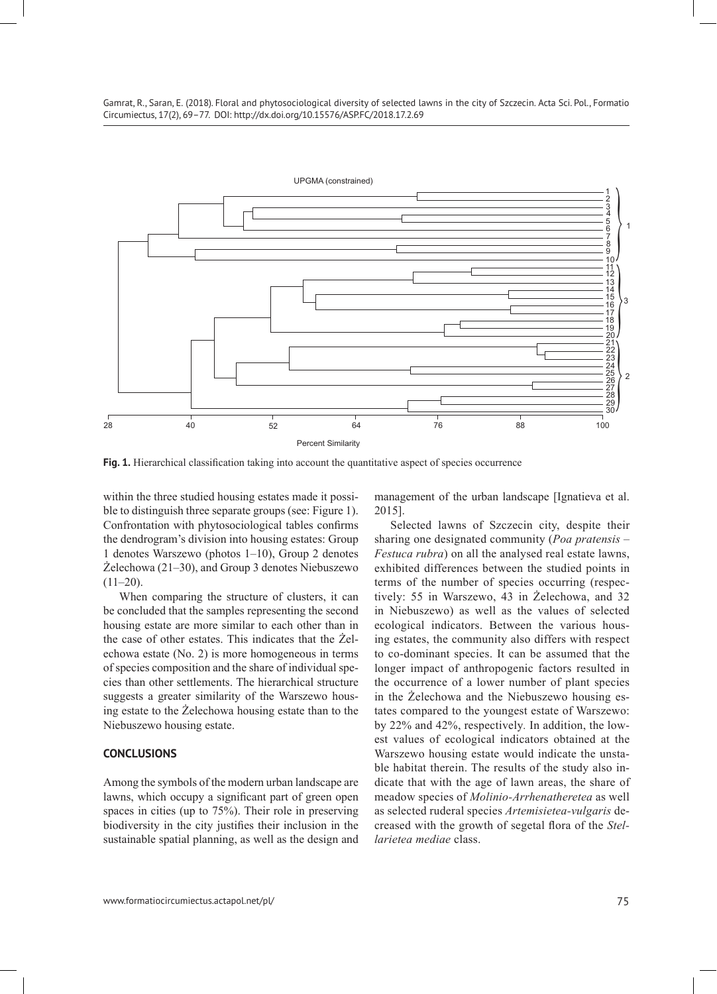Gamrat, R., Saran, E. (2018). Floral and phytosociological diversity of selected lawns in the city of Szczecin. Acta Sci. Pol., Formatio Circumiectus, 17(2), 69–77. DOI: http://dx.doi.org/10.15576/ASP.FC/2018.17.2.69



**Fig. 1.** Hierarchical classification taking into account the quantitative aspect of species occurrence

within the three studied housing estates made it possible to distinguish three separate groups (see: Figure 1). Confrontation with phytosociological tables confirms the dendrogram's division into housing estates: Group 1 denotes Warszewo (photos 1–10), Group 2 denotes Żelechowa (21–30), and Group 3 denotes Niebuszewo  $(11–20)$ .

When comparing the structure of clusters, it can be concluded that the samples representing the second housing estate are more similar to each other than in the case of other estates. This indicates that the Żelechowa estate (No. 2) is more homogeneous in terms of species composition and the share of individual species than other settlements. The hierarchical structure suggests a greater similarity of the Warszewo housing estate to the Żelechowa housing estate than to the Niebuszewo housing estate.

#### **CONCLUSIONS**

Among the symbols of the modern urban landscape are lawns, which occupy a significant part of green open spaces in cities (up to 75%). Their role in preserving biodiversity in the city justifies their inclusion in the sustainable spatial planning, as well as the design and management of the urban landscape [Ignatieva et al. 2015].

Selected lawns of Szczecin city, despite their sharing one designated community (*Poa pratensis – Festuca rubra*) on all the analysed real estate lawns, exhibited differences between the studied points in terms of the number of species occurring (respectively: 55 in Warszewo, 43 in Żelechowa, and 32 in Niebuszewo) as well as the values of selected ecological indicators. Between the various housing estates, the community also differs with respect to co-dominant species. It can be assumed that the longer impact of anthropogenic factors resulted in the occurrence of a lower number of plant species in the Żelechowa and the Niebuszewo housing estates compared to the youngest estate of Warszewo: by 22% and 42%, respectively*.* In addition, the lowest values of ecological indicators obtained at the Warszewo housing estate would indicate the unstable habitat therein. The results of the study also indicate that with the age of lawn areas, the share of meadow species of *Molinio-Arrhenatheretea* as well as selected ruderal species *Artemisietea-vulgaris* decreased with the growth of segetal flora of the *Stellarietea mediae* class.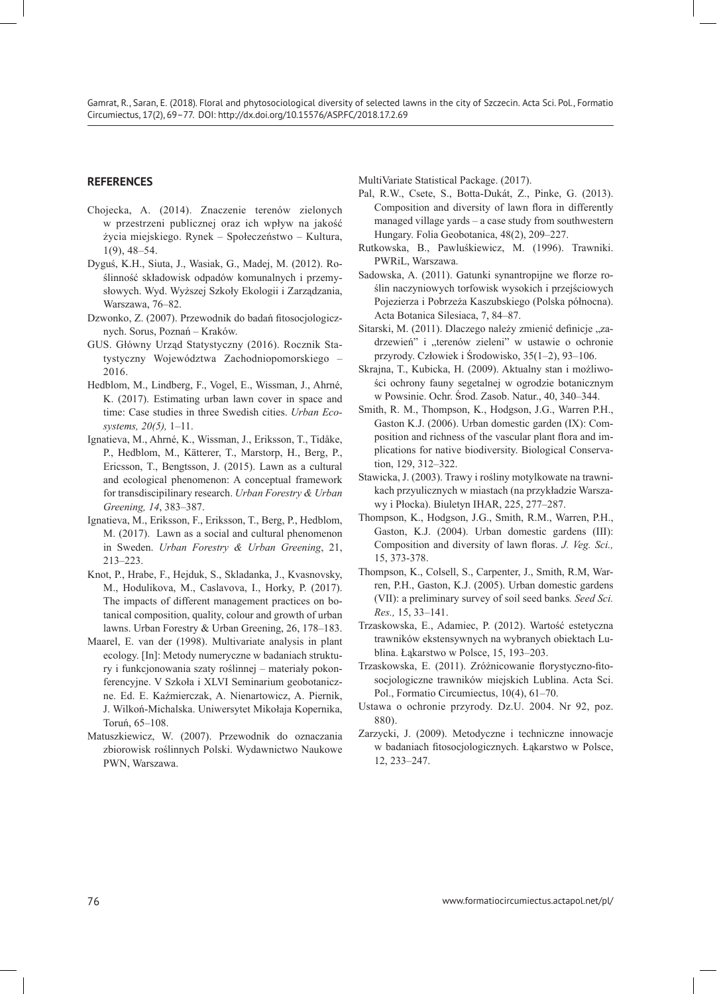## **REFERENCES**

- Chojecka, A. (2014). Znaczenie terenów zielonych w przestrzeni publicznej oraz ich wpływ na jakość życia miejskiego. Rynek – Społeczeństwo – Kultura, 1(9), 48–54.
- Dyguś, K.H., Siuta, J., Wasiak, G., Madej, M. (2012). Roślinność składowisk odpadów komunalnych i przemysłowych. Wyd. Wyższej Szkoły Ekologii i Zarządzania, Warszawa, 76–82.
- Dzwonko, Z. (2007). Przewodnik do badań fitosocjologicznych. Sorus, Poznań – Kraków.
- GUS. Główny Urząd Statystyczny (2016). Rocznik Statystyczny Województwa Zachodniopomorskiego – 2016.
- Hedblom, M., Lindberg, F., Vogel, E., Wissman, J., Ahrné, K. (2017). Estimating urban lawn cover in space and time: Case studies in three Swedish cities. *Urban Ecosystems, 20(5),* 1–11.
- Ignatieva, M., Ahrné, K., Wissman, J., Eriksson, T., Tidåke, P., Hedblom, M., Kätterer, T., Marstorp, H., Berg, P., Ericsson, T., Bengtsson, J. (2015). Lawn as a cultural and ecological phenomenon: A conceptual framework for transdiscipilinary research. *Urban Forestry & Urban Greening, 14*, 383–387.
- Ignatieva, M., Eriksson, F., Eriksson, T., Berg, P., Hedblom, M. (2017). Lawn as a social and cultural phenomenon in Sweden. *Urban Forestry & Urban Greening*, 21, 213–223.
- Knot, P., Hrabe, F., Hejduk, S., Skladanka, J., Kvasnovsky, M., Hodulikova, M., Caslavova, I., Horky, P. (2017). The impacts of different management practices on botanical composition, quality, colour and growth of urban lawns. Urban Forestry & Urban Greening, 26, 178–183.
- Maarel, E. van der (1998). Multivariate analysis in plant ecology. [In]: Metody numeryczne w badaniach struktury i funkcjonowania szaty roślinnej – materiały pokonferencyjne. V Szkoła i XLVI Seminarium geobotaniczne. Ed. E. Kaźmierczak, A. Nienartowicz, A. Piernik, J. Wilkoń-Michalska. Uniwersytet Mikołaja Kopernika, Toruń, 65–108.
- Matuszkiewicz, W. (2007). Przewodnik do oznaczania zbiorowisk roślinnych Polski. Wydawnictwo Naukowe PWN, Warszawa.

MultiVariate Statistical Package. (2017).

- Pal, R.W., Csete, S., Botta-Dukát, Z., Pinke, G. (2013). Composition and diversity of lawn flora in differently managed village yards – a case study from southwestern Hungary. Folia Geobotanica, 48(2), 209–227.
- Rutkowska, B., Pawluśkiewicz, M. (1996). Trawniki. PWRiL, Warszawa.
- Sadowska, A. (2011). Gatunki synantropijne we florze roślin naczyniowych torfowisk wysokich i przejściowych Pojezierza i Pobrzeża Kaszubskiego (Polska północna). Acta Botanica Silesiaca, 7, 84–87.
- Sitarski, M. (2011). Dlaczego należy zmienić definicje "zadrzewień" i "terenów zieleni" w ustawie o ochronie przyrody. Człowiek i Środowisko, 35(1–2), 93–106.
- Skrajna, T., Kubicka, H. (2009). Aktualny stan i możliwości ochrony fauny segetalnej w ogrodzie botanicznym w Powsinie. Ochr. Środ. Zasob. Natur., 40, 340–344.
- Smith, R. M., Thompson, K., Hodgson, J.G., Warren P.H., Gaston K.J. (2006). Urban domestic garden (IX): Composition and richness of the vascular plant flora and implications for native biodiversity. Biological Conservation, 129, 312–322.
- Stawicka, J. (2003). Trawy i rośliny motylkowate na trawnikach przyulicznych w miastach (na przykładzie Warszawy i Płocka). Biuletyn IHAR, 225, 277–287.
- Thompson, K., Hodgson, J.G., Smith, R.M., Warren, P.H., Gaston, K.J. (2004). Urban domestic gardens (III): Composition and diversity of lawn floras. *J. Veg. Sci.,* 15, 373-378.
- Thompson, K., Colsell, S., Carpenter, J., Smith, R.M, Warren, P.H., Gaston, K.J. (2005). Urban domestic gardens (VII): a preliminary survey of soil seed banks*. Seed Sci. Res.,* 15, 33–141.
- Trzaskowska, E., Adamiec, P. (2012). Wartość estetyczna trawników ekstensywnych na wybranych obiektach Lublina. Łąkarstwo w Polsce, 15, 193–203.
- Trzaskowska, E. (2011). Zróżnicowanie florystyczno-fitosocjologiczne trawników miejskich Lublina. Acta Sci. Pol., Formatio Circumiectus, 10(4), 61–70.
- Ustawa o ochronie przyrody. Dz.U. 2004. Nr 92, poz. 880).
- Zarzycki, J. (2009). Metodyczne i techniczne innowacje w badaniach fitosocjologicznych. Łąkarstwo w Polsce, 12, 233–247.